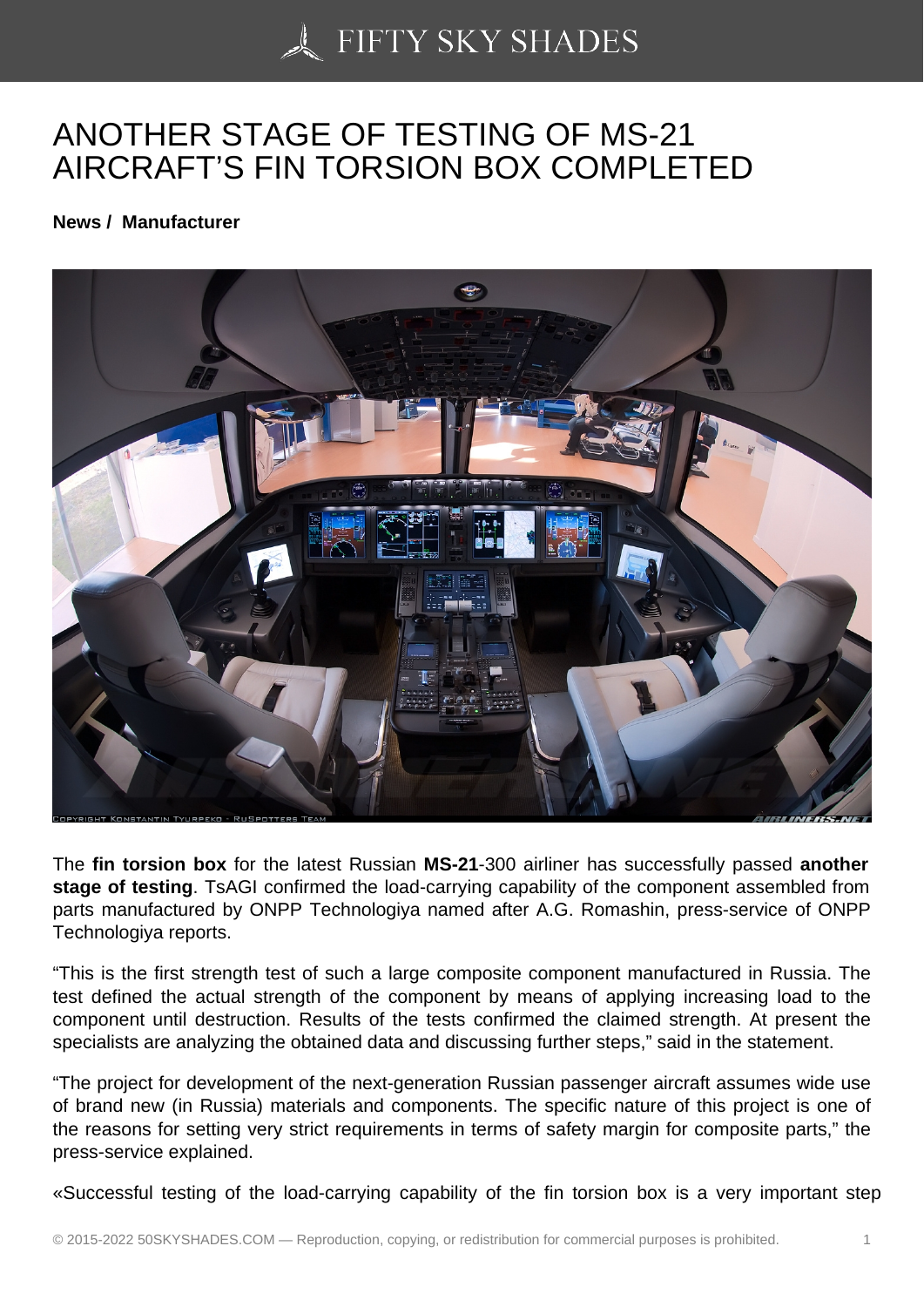## [ANOTHER STAGE OF](https://50skyshades.com) TESTING OF MS-21 AIRCRAFT'S FIN TORSION BOX COMPLETED

News / Manufacturer

The fin torsion box for the latest Russian MS-21-300 airliner has successfully passed another stage of testing . TsAGI confirmed the load-carrying capability of the component assembled from parts manufactured by ONPP Technologiya named after A.G. Romashin, press-service of ONPP Technologiya reports.

"This is the first strength test of such a large composite component manufactured in Russia. The test defined the actual strength of the component by means of applying increasing load to the component until destruction. Results of the tests confirmed the claimed strength. At present the specialists are analyzing the obtained data and discussing further steps," said in the statement.

"The project for development of the next-generation Russian passenger aircraft assumes wide use of brand new (in Russia) materials and components. The specific nature of this project is one of the reasons for setting very strict requirements in terms of safety margin for composite parts," the press-service explained.

«Successful testing of the load-carrying capability of the fin torsion box is a very important step